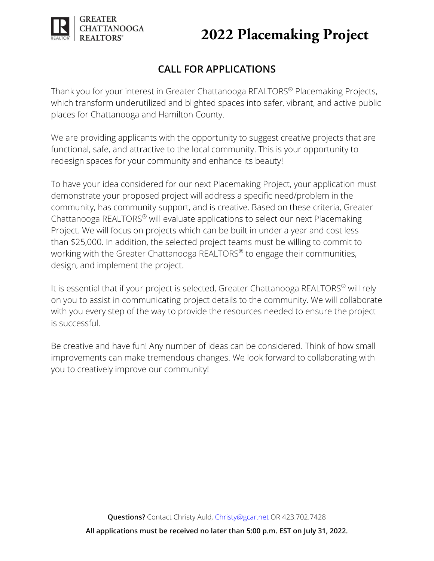

**GREATER** 

**CHATTANOOGA** 

Thank you for your interest in Greater Chattanooga REALTORS® Placemaking Projects, which transform underutilized and blighted spaces into safer, vibrant, and active public places for Chattanooga and Hamilton County.

We are providing applicants with the opportunity to suggest creative projects that are functional, safe, and attractive to the local community. This is your opportunity to redesign spaces for your community and enhance its beauty!

To have your idea considered for our next Placemaking Project, your application must demonstrate your proposed project will address a specific need/problem in the community, has community support, and is creative. Based on these criteria, Greater Chattanooga REALTORS® will evaluate applications to select our next Placemaking Project. We will focus on projects which can be built in under a year and cost less than \$25,000. In addition, the selected project teams must be willing to commit to working with the Greater Chattanooga REALTORS<sup>®</sup> to engage their communities, design, and implement the project.

It is essential that if your project is selected, Greater Chattanooga REALTORS® will rely on you to assist in communicating project details to the community. We will collaborate with you every step of the way to provide the resources needed to ensure the project is successful.

Be creative and have fun! Any number of ideas can be considered. Think of how small improvements can make tremendous changes. We look forward to collaborating with you to creatively improve our community!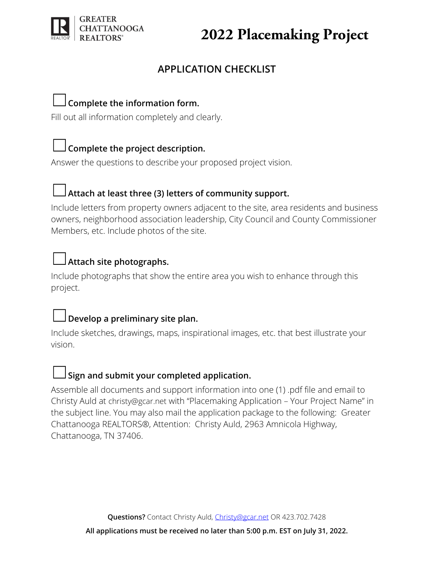

## **APPLICATION CHECKLIST**

## ☐**Complete the information form.**

Fill out all information completely and clearly.

## ☐**Complete the project description.**

Answer the questions to describe your proposed project vision.



## ☐**Attach at least three (3) letters of community support.**

Include letters from property owners adjacent to the site, area residents and business owners, neighborhood association leadership, City Council and County Commissioner Members, etc. Include photos of the site.

## ☐**Attach site photographs.**

Include photographs that show the entire area you wish to enhance through this project.

## ☐**Develop a preliminary site plan.**

Include sketches, drawings, maps, inspirational images, etc. that best illustrate your vision.



### ☐**Sign and submit your completed application.**

Assemble all documents and support information into one (1) .pdf file and email to Christy Auld at [christy@gcar.net](mailto:christy@gcar.net) with "Placemaking Application – Your Project Name" in the subject line. You may also mail the application package to the following: Greater Chattanooga REALTORS®, Attention: Christy Auld, 2963 Amnicola Highway, Chattanooga, TN 37406.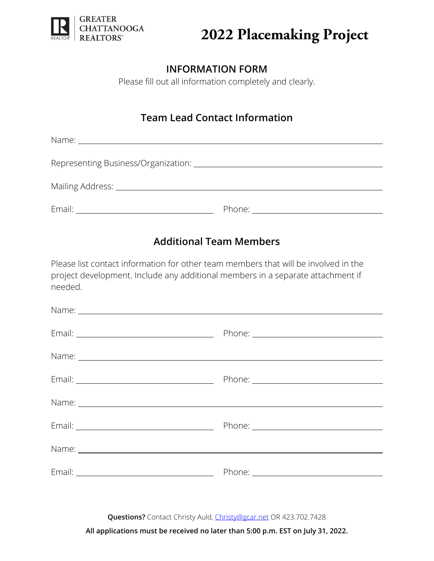

### **INFORMATION FORM**

Please fill out all information completely and clearly.

## **Team Lead Contact Information**

Name: when the contract of the contract of the contract of the contract of the contract of the contract of the contract of the contract of the contract of the contract of the contract of the contract of the contract of the

Representing Business/Organization:

Mailing Address:

Email: Phone:

## **Additional Team Members**

Please list contact information for other team members that will be involved in the project development. Include any additional members in a separate attachment if needed.

| Name: Name: Name: Name: Name: Name: Name: Name: Name: Name: Name: Name: Name: Name: Name: Name: Name: Name: Name: Name: Name: Name: Name: Name: Name: Name: Name: Name: Name: Name: Name: Name: Name: Name: Name: Name: Name: |  |
|-------------------------------------------------------------------------------------------------------------------------------------------------------------------------------------------------------------------------------|--|
|                                                                                                                                                                                                                               |  |
|                                                                                                                                                                                                                               |  |
|                                                                                                                                                                                                                               |  |

**Questions?** Contact Christy Auld, [Christy@gcar.net](mailto:Christy@gcar.net) OR 423.702.7428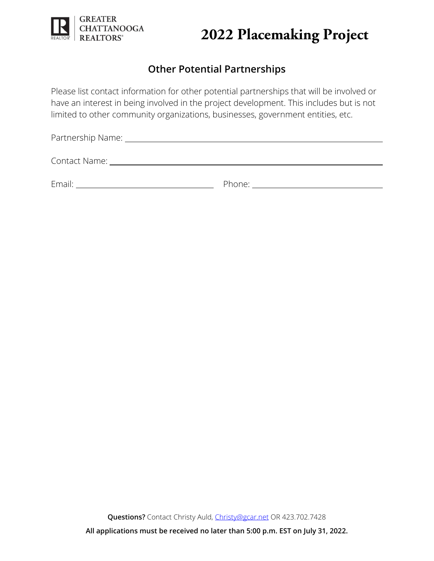

## **Other Potential Partnerships**

Please list contact information for other potential partnerships that will be involved or have an interest in being involved in the project development. This includes but is not limited to other community organizations, businesses, government entities, etc.

| Contact Name: University of the Contact Name: |                                                                                                                                                                                                                                |
|-----------------------------------------------|--------------------------------------------------------------------------------------------------------------------------------------------------------------------------------------------------------------------------------|
| Email:                                        | Phone: and the contract of the contract of the contract of the contract of the contract of the contract of the contract of the contract of the contract of the contract of the contract of the contract of the contract of the |

**Questions?** Contact Christy Auld, [Christy@gcar.net](mailto:Christy@gcar.net) OR 423.702.7428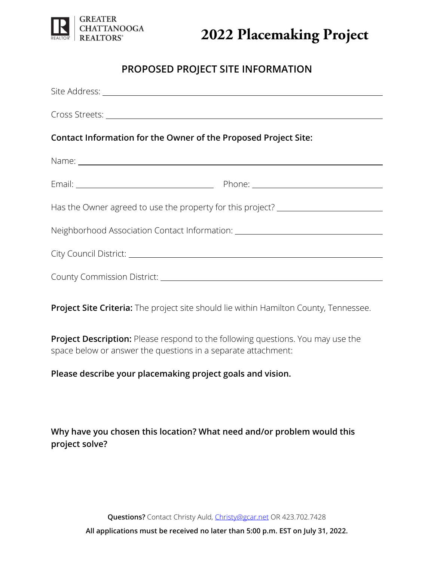

### **PROPOSED PROJECT SITE INFORMATION**

| Contact Information for the Owner of the Proposed Project Site:                  |  |  |  |
|----------------------------------------------------------------------------------|--|--|--|
|                                                                                  |  |  |  |
|                                                                                  |  |  |  |
| Has the Owner agreed to use the property for this project? _____________________ |  |  |  |
| Neighborhood Association Contact Information: __________________________________ |  |  |  |
|                                                                                  |  |  |  |
|                                                                                  |  |  |  |

**Project Site Criteria:** The project site should lie within Hamilton County, Tennessee.

**Project Description:** Please respond to the following questions. You may use the space below or answer the questions in a separate attachment:

#### **Please describe your placemaking project goals and vision.**

**Why have you chosen this location? What need and/or problem would this project solve?**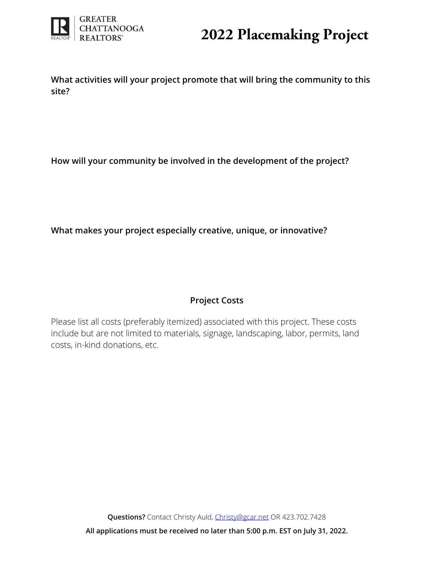

**What activities will your project promote that will bring the community to this site?** 

**How will your community be involved in the development of the project?** 

**What makes your project especially creative, unique, or innovative?** 

### **Project Costs**

Please list all costs (preferably itemized) associated with this project. These costs include but are not limited to materials, signage, landscaping, labor, permits, land costs, in-kind donations, etc.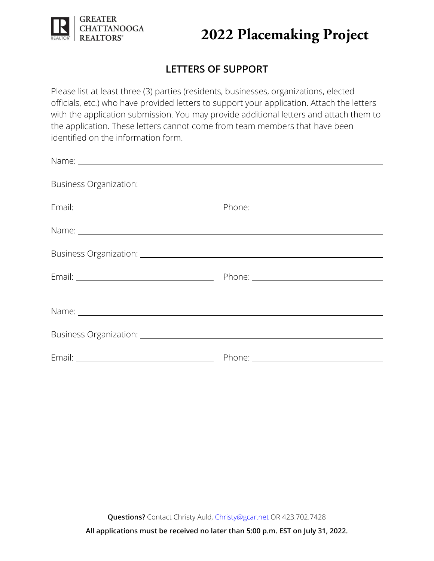

## **LETTERS OF SUPPORT**

Please list at least three (3) parties (residents, businesses, organizations, elected officials, etc.) who have provided letters to support your application. Attach the letters with the application submission. You may provide additional letters and attach them to the application. These letters cannot come from team members that have been identified on the information form.

| Name: Name: Name and Name and Name and Name and Name and Name and Name and Name and Name and Name and Name and Name and Name and Name and Name and Name and Name and Name and Name and Name and Name and Name and Name and Nam |  |
|--------------------------------------------------------------------------------------------------------------------------------------------------------------------------------------------------------------------------------|--|
|                                                                                                                                                                                                                                |  |
|                                                                                                                                                                                                                                |  |
|                                                                                                                                                                                                                                |  |
|                                                                                                                                                                                                                                |  |

**Questions?** Contact Christy Auld, [Christy@gcar.net](mailto:Christy@gcar.net) OR 423.702.7428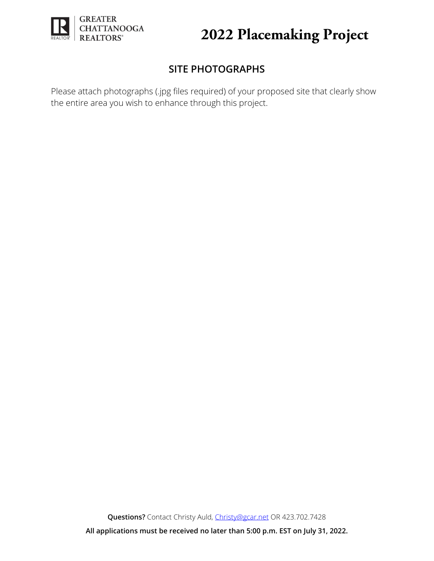

## **SITE PHOTOGRAPHS**

Please attach photographs (.jpg files required) of your proposed site that clearly show the entire area you wish to enhance through this project.

**Questions?** Contact Christy Auld, [Christy@gcar.net](mailto:Christy@gcar.net) OR 423.702.7428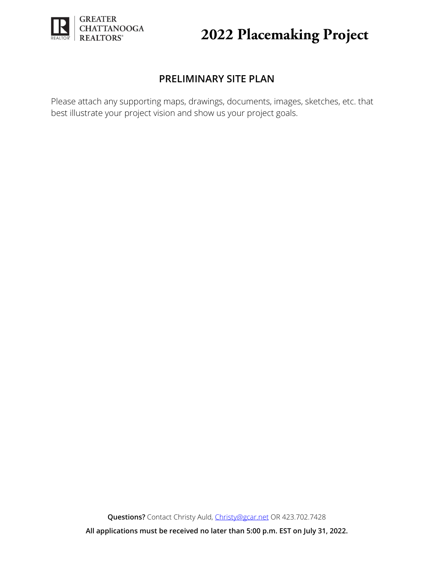

## **PRELIMINARY SITE PLAN**

Please attach any supporting maps, drawings, documents, images, sketches, etc. that best illustrate your project vision and show us your project goals.

**Questions?** Contact Christy Auld, [Christy@gcar.net](mailto:Christy@gcar.net) OR 423.702.7428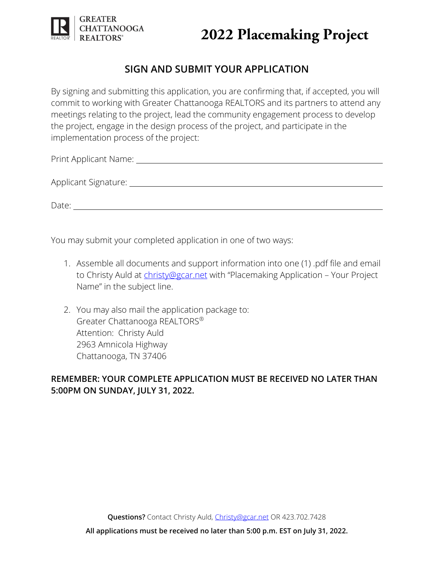

## **SIGN AND SUBMIT YOUR APPLICATION**

By signing and submitting this application, you are confirming that, if accepted, you will commit to working with Greater Chattanooga REALTORS and its partners to attend any meetings relating to the project, lead the community engagement process to develop the project, engage in the design process of the project, and participate in the implementation process of the project:

Print Applicant Name:

Applicant Signature:

Date: when the contract of the contract of the contract of the contract of the contract of the contract of the contract of the contract of the contract of the contract of the contract of the contract of the contract of the

You may submit your completed application in one of two ways:

- 1. Assemble all documents and support information into one (1) .pdf file and email to Christy Auld at [christy@gcar.net](mailto:christy@gcar.net) with "Placemaking Application - Your Project Name" in the subject line.
- 2. You may also mail the application package to: Greater Chattanooga REALTORS® Attention: Christy Auld 2963 Amnicola Highway Chattanooga, TN 37406

### **REMEMBER: YOUR COMPLETE APPLICATION MUST BE RECEIVED NO LATER THAN 5:00PM ON SUNDAY, JULY 31, 2022.**